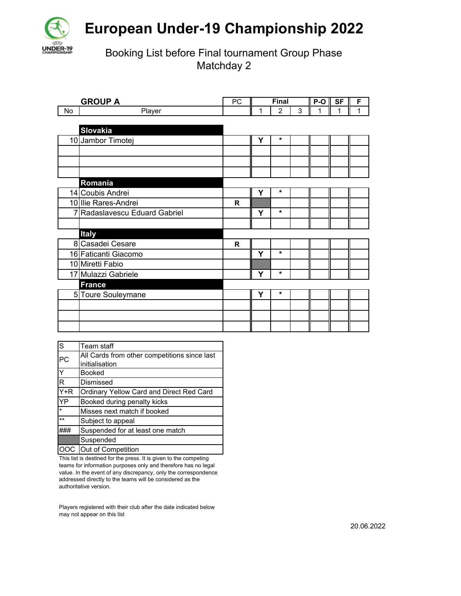

## **European Under-19 Championship 2022**

Booking List before Final tournament Group Phase Matchday 2

| <b>GROUP A</b> |                             | <b>PC</b> | Final |                |   | P-O | <b>SF</b> | F |
|----------------|-----------------------------|-----------|-------|----------------|---|-----|-----------|---|
| No             | Player                      |           |       | $\overline{2}$ | 3 | 1   | 1         | 1 |
|                |                             |           |       |                |   |     |           |   |
|                | <b>Slovakia</b>             |           |       |                |   |     |           |   |
|                | 10 Jambor Timotej           |           | Υ     | $\star$        |   |     |           |   |
|                |                             |           |       |                |   |     |           |   |
|                |                             |           |       |                |   |     |           |   |
|                |                             |           |       |                |   |     |           |   |
|                | Romania                     |           |       |                |   |     |           |   |
|                | 14 Coubis Andrei            |           | Υ     | $\star$        |   |     |           |   |
|                | 10 Ilie Rares-Andrei        | R         |       |                |   |     |           |   |
| 7              | Radaslavescu Eduard Gabriel |           | Υ     | $\star$        |   |     |           |   |
|                |                             |           |       |                |   |     |           |   |
|                | <b>Italy</b>                |           |       |                |   |     |           |   |
|                | 8 Casadei Cesare            | R         |       |                |   |     |           |   |
|                | 16 Faticanti Giacomo        |           | Y     | $\star$        |   |     |           |   |
|                | 10 Miretti Fabio            |           |       |                |   |     |           |   |
|                | 17 Mulazzi Gabriele         |           | Y     | $\star$        |   |     |           |   |
|                | <b>France</b>               |           |       |                |   |     |           |   |
|                | 5 Toure Souleymane          |           | Υ     | $\star$        |   |     |           |   |
|                |                             |           |       |                |   |     |           |   |
|                |                             |           |       |                |   |     |           |   |
|                |                             |           |       |                |   |     |           |   |

| S         | Team staff                                      |
|-----------|-------------------------------------------------|
| <b>PC</b> | All Cards from other competitions since last    |
|           | initialisation                                  |
| Y         | <b>Booked</b>                                   |
| R         | Dismissed                                       |
| $Y+R$     | <b>Ordinary Yellow Card and Direct Red Card</b> |
| YP        | Booked during penalty kicks                     |
| $\star$   | Misses next match if booked                     |
| $***$     | Subject to appeal                               |
|           | Suspended for at least one match                |
|           | Suspended                                       |
|           | OOC Out of Competition                          |

This list is destined for the press. It is given to the competing teams for information purposes only and therefore has no legal value. In the event of any discrepancy, only the correspondence addressed directly to the teams will be considered as the authoritative version.

Players registered with their club after the date indicated below may not appear on this list